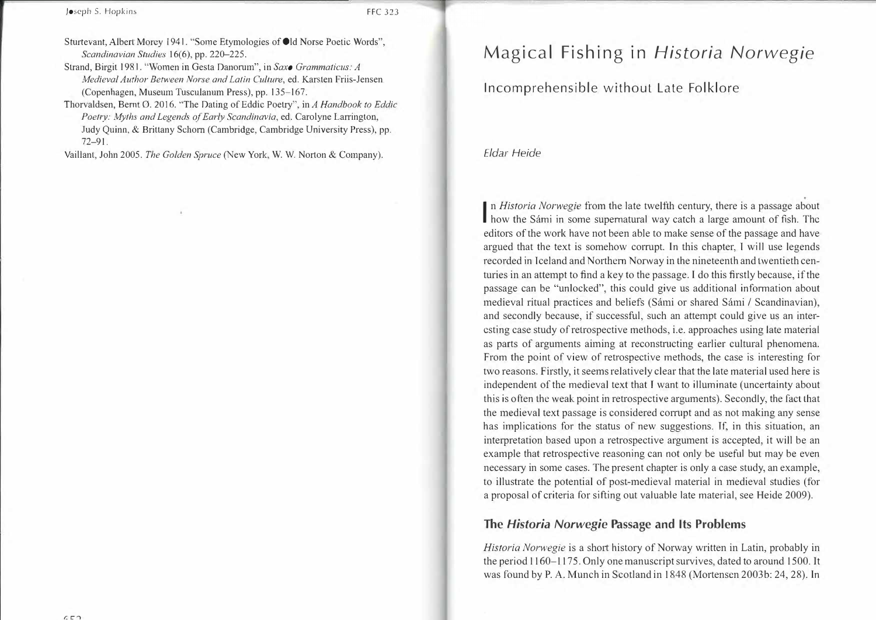Joseph S. Hopkins FFC 323

Sturtevant, Albert Morey 1941. "Some Etymologies of Old Norse Poetic Words", *Scandinavian Studies* 16(6), pp. 220-225.

Strand, Birgit 1981. "Women in Gesta Danorum", in *Saxo Grammaticus: A Medieval Author Between Norse and Latin Culture,* ed. Karsten Friis-Jensen (Copenhagen, Museum Tusculanum Press), pp. 135-167.

Thorvaldsen, Bernt 0. 2016. "The Dating of Eddie Poetry", in *A Handbook to Eddie*  Poetry: Myths and Legends of Early Scandinavia, ed. Carolyne Larrington, Judy Quinn, & Brittany Schorn (Cambridge, Cambridge University Press), pp. 72-91.

Vaillant, John 2005. *The Golden Spruce* (New York, W.W. Norton & Company).

# Magical Fishing in *Historia Norwegie*

Incomprehensible without Late Folklore

*Eldar Heide* 

I n *Historia Norwegie* from the late twelfth century, there is a passage about **how the Sámi in some supernatural way catch a large amount of fish. The** editors of the work have not been able to make sense of the passage and have argued that the text is somehow corrupt. In this chapter, I will use legends recorded in Iceland and Northern Norway in the nineteenth and twentieth centuries in an attempt to find a key to the passage. I do this firstly because, if the passage can be "unlocked", this could give us additional information about medieval ritual practices and beliefs (Sámi or shared Sámi / Scandinavian), and secondly because, if successful, such an attempt could give us an interesting case study of retrospective methods, *i.e.* approaches using late material as parts of arguments aiming at reconstructing earlier cultural phenomena. From the point of view of retrospective methods, the case is interesting for two reasons. Firstly, it seems relatively clear that the late material used here is independent of the medieval text that T want to illuminate (uncertainty about this is often the weak point in retrospective arguments). Secondly, the fact that the medieval text passage is considered corrupt and as not making any sense has implications for the status of new suggestions. Jf, in this situation, an interpretation based upon a retrospective argument is accepted, it will be an example that retrospective reasoning can not only be useful but may be even necessary in some cases. The present chapter is only a case study, an example, to illustrate the potential of post-medieval material in medieval studies (for a proposal of criteria for sifting out valuable late material, see Heide 2009).

## **The** *Historia Norwegie* **Passage and Its Problems**

*Historia Norwegie* is a short history of Norway written in Latin, probably in the period 1160-1175. Only one manuscript survives, dated to around 1500. It was found by P.A. Munch in Scotland in 1848 (Mortensen 2003b: 24, 28). In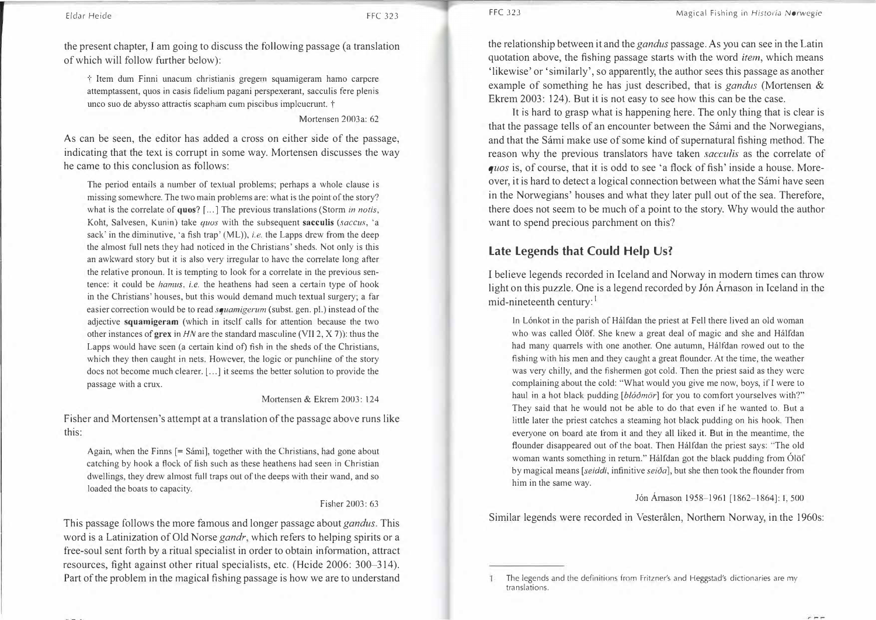the present chapter, I am going to discuss the following passage (a translation of which will follow further below):

 $\dot{\tau}$  Item dum Finni unacum christianis gregem squamigeram hamo carpere attemptassent, quos in casis fidelium pagani perspexerant, sacculis fere plenis unco suo de abysso attractis scapham cum piscibus impleuerunt. t

#### Mortensen 2003a: 62

As can be seen, the editor has added a cross on either side of the passage, indicating that the text is corrupt in some way. Mortensen discusses the way he came to this conclusion as follows:

The period entails a number of textual problems; perhaps a whole clause is missing somewhere. The two main problems are: what is the point of the story? what is the correlate of **quos?** [ ... ] The previous translations (Storm *in notis,*  Koht, Salvesen, Kunin) take *quos* with the subsequent **sacculis** (saccus, 'a sack' in the diminutive, 'a fish trap' (ML)), *i.e.* the Lapps drew from the deep the almost full nets they had noticed in the Christians' sheds. Not only is this an awkward story but it is also very irregular to have the correlate long after the relative pronoun. It is tempting to look for a correlate in the previous sentence: it could be *hamus, i.e.* the heathens had seen a certain type of hook in the Christians' houses, but this would demand much textual surgery; a far easier correction would be to read *squamigerum* (subst. gen. pl.) instead of the adjective **squamigeram** (which in itself calls for attention because the two other instances of **grex** in *HN* are the standard masculine (VII 2, X 7)): thus the Lapps would have seen (a certain kind of) fish in the sheds of the Christians, which they then caught in nets. However, the logic or punchline of the story does not become much clearer. [...] it seems the better solution to provide the passage with a crux.

#### Mortensen & Ekrem 2003: 124

Fisher and Mortensen's attempt at a translation of the passage above runs like this:

Again, when the Finns  $[=$  Sámi], together with the Christians, had gone about catching by hook a flock of fish such as these heathens bad seen in Christian dwellings, they drew almost full traps out of the deeps with their wand, and so loaded the boats to capacity.

#### Fisher 2003: 63

This passage follows the more famous and longer passage about *gandus.* This word is a Latinization of Old Norse *gandr,* which refers to helping spirits or a free-soul sent forth by a ritual specialist in order to obtain information, attract resources, fight against other ritual specialists, etc. (Heide 2006: 300-314). Part of the problem in the magical fishing passage is how we are to understand

the relationship between it and the *gandus* passage. As you can see in the Latin quotation above, the fishing passage starts with the word *item,* which means 'likewise' or 'similarly', so apparently, the author sees this passage as another example of something he has just described, that is *gandus* (Mortensen & Ekrem 2003: 124). But it is not easy to see how this can be the case.

It is hard to grasp what is happening here. The only thing that is clear is that the passage tells of an encounter between the Sámi and the Norwegians, and that the Sámi make use of some kind of supernatural fishing method. The reason why the previous translators have taken *sacculis* as the correlate of *quos* is, of course, that it is odd to see 'a flock of fish' inside a house. Moreover, it is hard to detect a logical connection between what the Sámi have seen in the Norwegians' houses and what they later pull out of the sea. Therefore, there does not seem to be much of a point to the story. Why would the author want to spend precious parchment on this?

# **Late Legends that Could Help Us?**

I believe legends recorded in Iceland and Norway in modern times can throw light on this puzzle. One is a legend recorded by Jón Árnason in Iceland in the mid-nineteenth century: <sup>1</sup>

In Lónkot in the parish of Hálfdan the priest at Fell there lived an old woman who was called Ólöf. She knew a great deal of magic and she and Halfdan had many quarrels with one another. One autumn, Hálfdan rowed out to the fishing with his men and they caught a great flounder. At the time, the weather was very chilly, and the fishermen got cold. Then the priest said as they were complaining about the cold: "What would you give me now, boys, if I were to haul in a hot black pudding *[blóðmör]* for you to comfort yourselves with?" They said that he would not be able to do that even if he wanted to. But a little later the priest catches a steaming hot black pudding on his hook. Then everyone on board ate from it and they all liked it. But in the meantime, the flounder disappeared out of the boat. Then Halfdan the priest says: "The old woman wants something in return." Halfdan got the black pudding from Olöf by magical means *[seiddi,* infinitive *sei6a],* but she then took the flounder from him in the same way.

#### Jón Árnason 1958-1961 [1862-1864]: I, 500

Similar legends were recorded in Vesterålen, Northern Norway, in the 1960s:

The legends and the definitions from Fritzner's and Heggstad's dictionaries are my translations.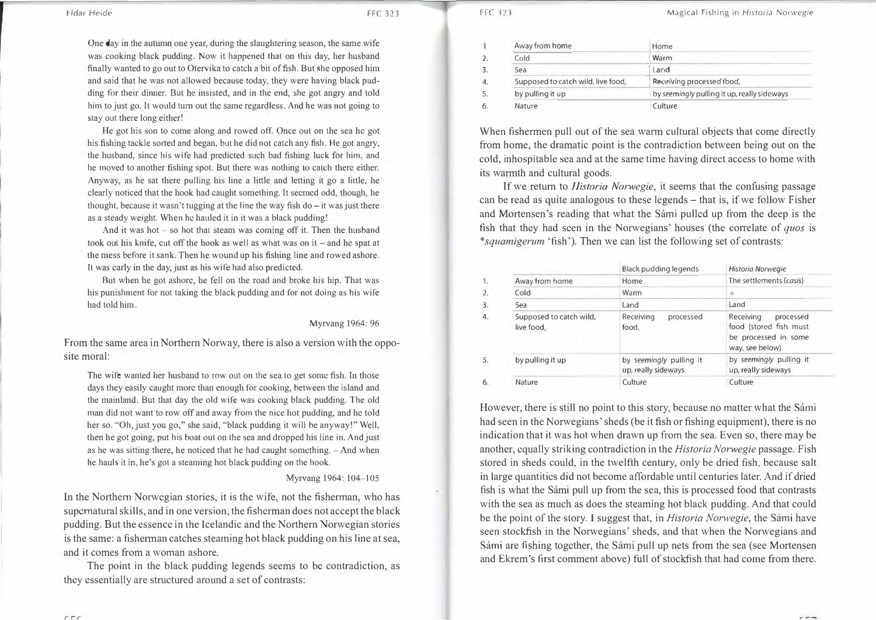Eldar Heide FFC 323

One day in the autumn one year, during the slaughtering season, the same wife was cooking black pudding. Now it happened that on this day, her husband finally wanted to go out to Otervika to catch a bit of fish. But she opposed him and said that he was not allowed because today, they were having black pudding for their dinner. But be insisted, and in the end, she got angry and told him to just go. It would tum out the same regardless. And he was not going to stay out there long either!

He got his son to come along and rowed off. Once out on the sea he got his fishing tackle sorted and began, but he did not catch any fish. He got angry, the husband, since his wife had predicted such bad fishing luck for him, and he moved to another fishing spot. But there was nothing to catch there either. Anyway, as he sat there pulling his line a little and letting it go a little, he clearly noticed that the hook had caught something. It seemed odd, though, he thought, because it wasn't tugging at the line the way fish do  $-$  it was just there as a steady weight. When he hauled it in it was a black pudding!

And it was hot  $-$  so hot that steam was coming off it. Then the husband took out his knife, cut off the hook as well as what was on  $it$  - and he spat at the mess before it sank. Then he wound up his fishing line and rowed ashore. It was early in the day, just as his wife had also predicted.

But when he got ashore, he fell on the road and broke his hip. That was his punishment for not taking the black pudding and for not doing as bis wife had told him.

Myrvang 1964: 96

From the same area in Northern Norway, there is also a version with the opposite moral:

The wife wanted her husband to row out on the sea to get some fish. In those days they easily caught more than enough for cooking, between the island and the mainland. But that day the old wife was cooking black pudding. The old man did not want to row off and away from the nice hot pudding, and he told her so. "Oh, just you go," she said, "black pudding it will be anyway!" Well, then he got going, put his boat out on the sea and dropped his line in. And just as he was sitting there, he noticed that he had caught something. - And when he hauls it in, he's got a steaming hot black pudding on the hook.

#### Myrvang 1964: 104-105

In the Northern Norwegian stories, it is the wife, not the fisherman, who has supernatural skills, and in one version, the fisherman does not accept the black pudding. But the essence in the lcelandic and the Northern Norwegian stories is the same: a fisherman catches steaming hot black pudding on his line at sea, and it comes from a woman ashore.

The point in the black pudding legends seems to be contradiction, as they essentially are structured around a set of contrasts:

| Away from home                     | Home                                        |  |
|------------------------------------|---------------------------------------------|--|
| Cold                               | Warm                                        |  |
| Sea                                | Land                                        |  |
| Supposed to catch wild, live food, | Receiving processed food,                   |  |
| by pulling it up                   | by seemingly pulling it up, really sideways |  |
| Nature                             | Culture                                     |  |

When fishermen pull out of the sea warm cultural objects that come directly from home, the dramatic point is the contradiction between being out on the cold, inhospitable sea and at the same time having direct access to home with its warmth and cultural goods.

If we return to *Historia Norwegie,* it seems that the confusing passage can be read as quite analogous to these legends – that is, if we follow Fisher and Mortensen's reading that what the Sámi pulled up from the deep is the fish that they had seen in the Norwegians' houses (the correlate of *quos* is *\*squamigerum* 'fish'). Then we can list the following set of contrasts:

|                                       | <b>Black pudding legends</b>                   | Historia Norwegie                                                                           |
|---------------------------------------|------------------------------------------------|---------------------------------------------------------------------------------------------|
| Away from home                        | Home                                           | The settlements (casis)                                                                     |
| Cold                                  | Warm                                           | ÷                                                                                           |
| Sea                                   | Land                                           | Land                                                                                        |
| Supposed to catch wild,<br>live food, | Receiving<br>processed<br>food,                | Receiving<br>processed<br>food (stored fish must<br>be processed in some<br>way, see below) |
| by pulling it up                      | by seemingly pulling it<br>up, really sideways | by seemingly pulling it<br>up, really sideways                                              |
| Nature                                | Culture                                        | Culture                                                                                     |

However, there is still no point to this story, because no matter what the Sámi had seen in the Norwegians' sheds (be it fish or fishing equipment), there is no indication that it was hot when drawn up from the sea. Even so, there may be another, equally striking contradiction in the *Historia Norwegie* passage. Fish stored in sheds could, in the twelfth century, only be dried fish, because salt in large quantities did not become affordable until centuries later. And if dried fish is what the Sámi pull up from the sea, this is processed food that contrasts with the sea as much as does the steaming hot black pudding. And that could be the point of the story. l suggest that, in *Historia Norwegie,* the Sarni have seen stockfish in the Norwegians' sheds, and that when the Norwegians and Sámi are fishing together, the Sámi pull up nets from the sea (see Mortensen and Ekrem's first comment above) full of stockfish that had come from there.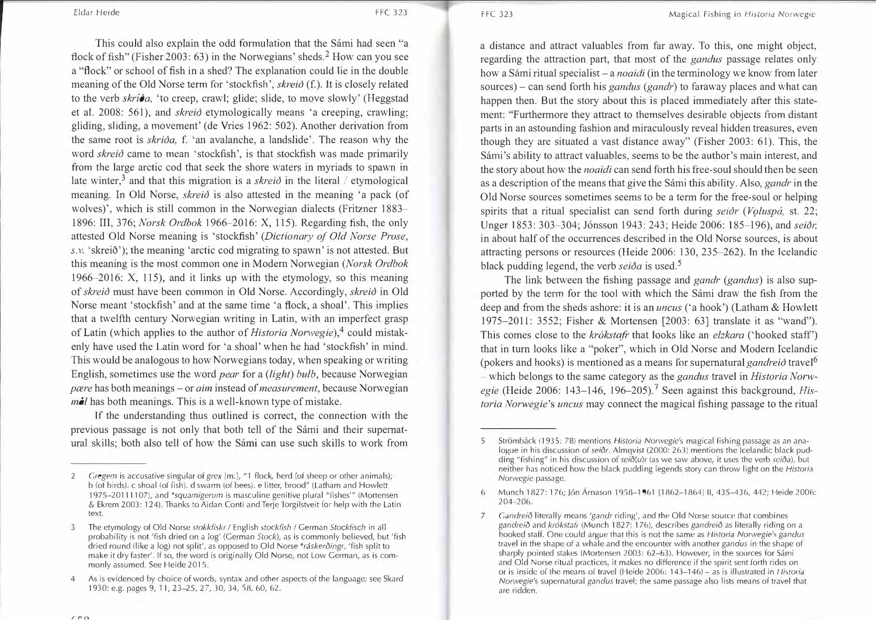*E/dar* Heide FFC 323

This could also explain the odd formulation that the Sámi had seen "a flock of fish" (Fisher 2003: 63) in the Norwegians' sheds.<sup>2</sup> How can you see a "flock" or school of fish in a shed? The explanation could lie in the double meaning of the Old Norse term for 'stockfish', *skreid* (f.). It is closely related to the verb *skriča*, 'to creep, crawl; glide; slide, to move slowly' (Heggstad et al. 2008: 561), and *skreid* etymologically means 'a creeping, crawling; gliding, sliding, a movement' (de Vries 1962: 502). Another derivation from the same root is *skrida*, f. 'an avalanche, a landslide'. The reason why the word *skreið* came to mean 'stockfish', is that stockfish was made primarily from the large arctic cod that seek the shore waters in myriads to spawn in late winter,<sup>3</sup> and that this migration is a *skreid* in the literal / etymological meaning. In Old Norse, *skreid* is also attested in the meaning 'a pack (of wolves)', which is still common in the Norwegian dialects (Fritzner 1883- 1896: III, 376; *Norsk Ordbok* 1966-2016: X, 115). Regarding fish, the only attested Old Norse meaning is 'stockfish' *(Dictionary of Old Norse Prose, s.v.* 'skreið'); the meaning 'arctic cod migrating to spawn' is not attested. But this meaning is the most common one in Modem Norwegian *(Norsk Ordbok*  1966-2016: X, 115), and it links up with the etymology, so this meaning of *skreio* must have been common in Old Norse. Accordingly, *skreio* in Old Norse meant 'stockfish' and at the same time 'a flock, a shoal'. This implies that a twelfth century Norwegian writing in Latin, with an imperfect grasp of Latin (which applies to the author of *Historia Norwegie*),<sup>4</sup> could mistakenly have used the Latin word for 'a shoal' when he had 'stockfish' in mind. This would be analogous to how Norwegians today, when speaking or writing English, sometimes use the word *pear* for a *(light) bulb,* because Norwegian *pcere* has both meanings – or *aim* instead of *measurement*, because Norwegian *mal* has both meanings. This is a well-known type of mistake.

If the understanding thus outlined is correct, the connection with the previous passage is not only that both tell of the Sarni and their supernatural skills; both also tell of how the Sarni can use such skills to work from a distance and attract valuables from far away. To this, one might object, regarding the attraction part, that most of the *gandus* passage relates only how a Sámi ritual specialist – a *noaidi* (in the terminology we know from later sources) - can send forth his *gandus (gandr)* to faraway places and what can happen then. But the story about this is placed immediately after this statement: "Furthermore they attract to themselves desirable objects from distant parts in an astounding fashion and miraculously reveal hidden treasures, even though they are situated a vast distance away" (Fisher 2003: 61). This, the Sámi's ability to attract valuables, seems to be the author's main interest, and the story about how the *noaidi* can send forth his free-soul should then be seen as a description of the means that give the Sarni this ability. Also, *gandr* in the Old Norse sources sometimes seems to be a term for the free-soul or helping spirits that a ritual specialist can send forth during *seior* (*Voluspá*, st. 22; Unger 1853: 303-304; Jónsson 1943: 243; Heide 2006: 185-196), and *seiðr*, in about half of the occurrences described in the Old Norse sources, is about attracting persons or resources (Heide 2006: 130, 235-262). Tn the Icelandic black pudding legend, the verb *seida* is used.<sup>5</sup>

The link between the fishing passage and *gandr (gandus)* is also supported by the term for the tool with which the Sámi draw the fish from the deep and from the sheds ashore: it is an *uncus* ('a hook') (Latham & Howlett 1975-2011: 3552; Fisher & Mortensen [2003: 63] translate it as "wand"). This comes close to the *krókstafr* that looks like an *elzkara* ('hooked staff') that in tum looks like a "poker", which in Old Norse and Modern Icelandic (pokers and hooks) is mentioned as a means for supernatural *gandreid* travel<sup>6</sup> - which belongs to the same category as the *gandus* travel in *Historia Norw*egie (Heide 2006: 143-146, 196-205).<sup>7</sup> Seen against this background, *Historia Norwegie's uncus* may connect the magical fishing passage to the ritual

<sup>2</sup> *Cregem* is accusative singular of *grex* [m.], "'I flock, herd (of sheep or other animals); b (of birds). c shoal (of fish). d swarm (oi bees). e litter, brood" (Latham and Howlett 1975-20111107), and *\*squamigerum* is masculine genitive plural "fishes'" (Mortensen & Ekrem 2003: 124). Thanks to Aidan Conti and Terje Torgilstveit for help with the Latin text.

<sup>3</sup> The etymology of Old Norse *stokkfiskr I* English *stockfish I* German *Stockfisch* in all probability is not 'fish dried on *a* log' (German *Stock),* as is commonly believed, but 'fish dried round (like a log) not split', as opposed to Old Norse *\*raskeroingr,* 'fish split to make it dry faster'. If so, the word is originally Old Norse, not Low German, as is commonly assumed. See Heide 2015.

<sup>4</sup> As is evidenced by choice of words, syntax and other aspects of the language; see Skard 1930: e.g. pages 9, 11, 23-25, 27, 30, 34, 58, 60, 62.

<sup>5</sup> Stromback (1935: 78) mentions *Historia Norwegie's* magical fishing passage *as* an analogue in his discussion of *seior*. Almqvist (2000: 263) mentions the Icelandic black pudding "fishing" in his discussion of *sei*d(u)r (as we saw above, it uses the verb *seida*), but neither has noticed how the black pudding legends story can throw light on the *Historia Norwegie* passage.

<sup>6</sup> Munch 1827: 176; Jon Amason 1958-1961 [1862-1864] 11, 435-43b, 442; Heide 2006: 204-206.

<sup>7</sup> *Candreio* literally means *'gandr* riding', and the Old Norse source that combines gandreið and *krókstafr* (Munch 1827: 176), describes gandreið as literally riding on a hooked staff. One could argue that this is not the same as *Historia Norwegie's gandus*  travel in the shape of a whale and the encounter with another *ganclus* in the shape of sharply pointed stakes (Mortensen 2003: 62–63). However, in the sources for Sámi and Old Norse ritual practices, it makes no difference if the spirit sent forth rides on or is inside of the means of travel (Heide 2006: 143-146)- as is illustrated in */-listoria Norwegie's* supernatural *gandus* travel; the same passage also I ists means of travel that are ridden.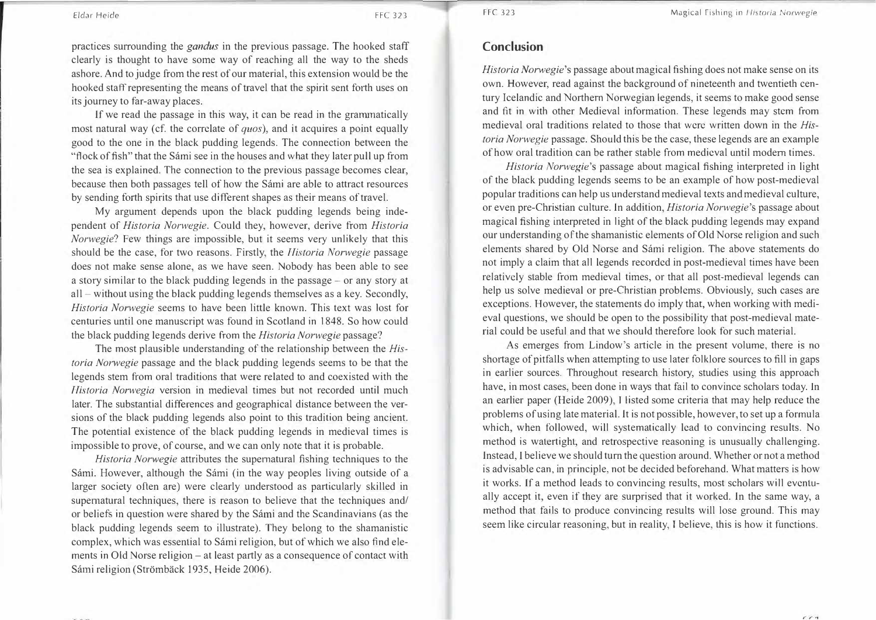Eldar Heide FFC 323

practices surrounding the *gandus* in the previous passage. The hooked staff clearly is thought to have some way of reaching all the way to the sheds ashore. And to judge from the rest of our material, this extension would be the hooked staff representing the means of travel that the spirit sent forth uses on its journey to far-away places.

If we read the passage in this way, it can be read in the grammatically most natural way (cf. the correlate of *quos),* and it acquires a point equally good to the one in the black pudding legends. The connection between the "flock of fish" that the Sámi see in the houses and what they later pull up from the sea is explained. The connection to the previous passage becomes clear, because then both passages tell of how the Sámi are able to attract resources by sending forth spirits that use different shapes as their means of travel.

My argument depends upon the black pudding legends being independent of *Historia Norwegie.* Could they, however, derive from *Historia Norwegie?* Few things are impossible, but it seems very unlikely that this should be the case, for two reasons. Firstly, the *Historia Norwegie* passage does not make sense alone, as we have seen. Nobody has been able to see a story similar to the black pudding legends in the passage - or any story at all – without using the black pudding legends themselves as a key. Secondly, *Historia Norwegie* seems to have been little known. This text was lost for centuries until one manuscript was found in Scotland in 1848. So how could the black pudding legends derive from the *Historia Norwegie* passage?

The most plausible understanding of the relationship between the *Historia Norwegie* passage and the black pudding legends seems to be that the legends stem from oral traditions that were related to and coexisted with the *Historia Norwegia* version in medieval times but not recorded until much later. The substantial differences and geographical distance between the versions of the black pudding legends also point to this tradition being ancient. The potential existence of the black pudding legends in medieval times is impossible to prove, of course, and we can only note that it is probable.

*Historia Norwegie* attributes the supernatural fishing techniques to the Sámi. However, although the Sámi (in the way peoples living outside of a larger society often are) were clearly understood as particularly skilled in supernatural techniques, there is reason to believe that the techniques and/ or beliefs in question were shared by the Sarni and the Scandinavians (as the black pudding legends seem to illustrate). They belong to the shamanistic complex, which was essential to Sámi religion, but of which we also find elements in Old Norse religion – at least partly as a consequence of contact with Sámi religion (Strömbäck 1935, Heide 2006).

 $20 - 4$ 

### **Conclusion**

*Historia Norwegie's* passage about magical fishing does not make sense on its own. However, read against the background of nineteenth and twentieth century Icelandic and Northern Norwegian legends, it seems to make good sense and fit in with other Medieval information. These legends may stem from medieval oral traditions related to those that were written down in the *Historia Norwegie* passage. Should this be the case, these legends are an example of how oral tradition can be rather stable from medieval until modern times.

*Historia Norwegie's* passage about magical fishing interpreted in light of the black pudding legends seems to be an example of how post-medieval popular traditions can help us understand medieval texts and medieval culture, or even pre-Christian culture. In addition, *Historia Norwegie's* passage about magical fishing interpreted in light of the black pudding legends may expand our understanding of the shamanistic elements of Old Norse religion and such elements shared by Old Norse and Sámi religion. The above statements do not imply a claim that all legends recorded in post-medieval times have been relatively stable from medieval times, or that all post-medieval legends can help us solve medieval or pre-Christian problems. Obviously, such cases are exceptions. However, the statements do imply that, when working with medieval questions, we should be open to the possibility that post-medieval material could be useful and that we should therefore look for such material.

As emerges from Lindow's article in the present volume, there is no shortage of pitfalls when attempting to use later folklore sources to fill in gaps in earlier sources. Throughout research history, studies using this approach have, in most cases, been done in ways that fail to convince scholars today. ln an earlier paper (Heide 2009), T listed some criteria that may help reduce the problems of using late material. It is not possible, however, to set up a formula which, when followed, will systematically lead to convincing results. No method is watertight, and retrospective reasoning is unusually challenging. Instead, l believe we should turn the question around. Whether or not a method is advisable can, in principle, not be decided beforehand. What matters is how it works. If a method leads to convincing results, most scholars will eventually accept it, even if they are surprised that it worked. In the same way, a method that fails to produce convincing results will lose ground. This may seem like circular reasoning, but in reality, T believe, this is how it functions.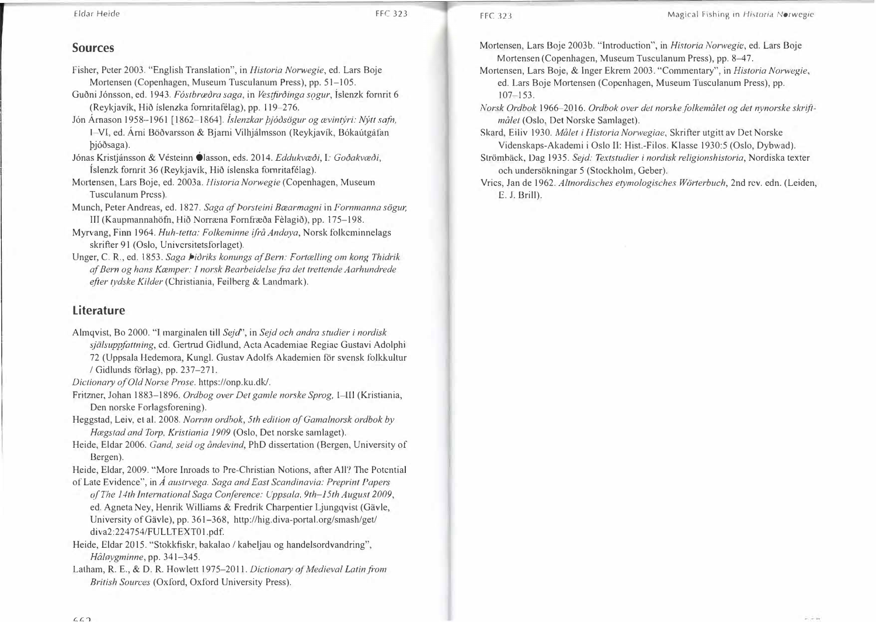### **Sources**

- Fisher, Peter 2003. "English Translation", in *Historia Norwegie,* ed. Lars Boje Mortensen (Copenhagen, Museum Tusculanum Press), pp. 51-105.
- Guðni Jónsson, ed. 1943. *Fóstbræðra saga*, in *Vestfirðinga sogur*, Íslenzk fornrit 6 (Reykjavík, Hið íslenzka fornritafélag), pp. 119-276.
- J6n Amason 1958-1961 [1862-1864]. *fslenzkar J;j6osogur og cevintyri: Nytt safa,*  I-VI, ed. Árni Böðvarsson & Bjarni Vilhjálmsson (Reykjavík, Bókaútgáfan bjóðsaga).
- Jónas Kristjánsson & Vésteinn <sup>1</sup>lasson, eds. 2014. Eddukvæði, I: Goðakvæði, Íslenzk fornrit 36 (Reykjavík, Hið íslenska fornritafélag).
- M011ensen, Lars Boje, ed. 2003a. *Historia Nonvegie* (Copenhagen, Museum Tusculanum Press).
- Munch, Peter Andreas, ed. 1827. *Saga af Porsteini Bcearmagni* in *Fornmanna sogur,*  III (Kaupmannahöfn, Hið Norræna Fornfræða Fèlagið), pp. 175-198.
- Myrvang, Finn 1964. *Huh-tetta: Folkeminne ifra Andaya,* Norsk folkeminnelags skrifter 91 (Oslo, Universitetsforlaget).
- Unger, C.R., ed. 1853. *Saga Pioriks konungs af Bern: Fortcelling om kong Thidrik af Bern og hans Kcemper:* T *norsk Bearbeidelse.fra det trettende Aarhundrede e.fter tydske Kilder* (Christiania, Feilberg & Landmark).

## **Literature**

- Almqvist, Bo 2000. "J marginalen till *Sejd'',* in *Sejd och andra studier i nordisk sjalsupp.fattning,* ed. Ge11rud Gidlund, ActaAcademiae Regiae Gustavi Adolphi 72 (Uppsala Hedemora, Kung!. Gustav Adolfs Akademien for svensk folkkultur / Gidlunds forlag), pp. 23 7-271.
- *Dictionary of Old Norse Prose.* https://onp.ku.dk/.
- Fritzner, Johan 1883-1896. *Ordbog over Det gamle norske Sprog,* 1 -lll (Kristiania, Den norske Forlagsforening).
- Heggstad, Leiv, et al. 2008. *Norrøn ordbok, 5th edition of Gamalnorsk ordbok by Hcegstad and Torp, Kristiania 1909* (Oslo, Det norske samlaget).
- Heide, Eldar 2006. *Gand, seid og åndevind*, PhD dissertation (Bergen, University of Bergen).

Heide, Eldar, 2009. "More Inroads to Pre-Christian Notions, after All? The Potential of Late Evidence", in *A austrvega. Saga and East Scandinavia: Preprint Papers* 

- *of The 14th International Saga Conference: Uppsala, 9th-J 5th August 2009,*  ed. Agneta Ney, Henrik Williams & Fredrik Charpentier Ljungqvist (Gävle, University ofGavle), pp. 361-368, http://hig.diva-portal.org/smash/get/ diva2:224754/FULLTEXT01.pdf.
- Heide, Eldar 2015. "Stokkfiskr, bakalao / kabeljau og handelsordvandring", *Haleygminne,* pp. 341-345.
- Latham, R. E., & D. R. Howlett 1975-2011. *Dictionary of Medieval Latin from British Sources* (Oxford, Oxford University Press).

Mortensen, Lars Boje 2003b. "Introduction'', in *Historia Norwegie,* ed. Lars Boje Mortensen (Copenhagen, Museum Tusculanum Press), pp. 8-47.

- Mortensen, Lars Boje, & Inger Ekrem 2003. "Commentary", in *Historia Nonvegie,*  ed. Lars Boje Mortensen (Copenhagen, Museum Tusculanum Press), pp. 107-153.
- *Norsk Ordbok* 1966-2016. *Ordbok over det norskefolkemalet og det nynorske sla'iftmalet* (Oslo, Det Norske Samlaget).
- Skard, Eiliv 1930. *Malet i Historia Norwegiae,* Skrifter utgitt av Det Norske Videnskaps-Akademi i Oslo II: Hist.-Filos. Klasse 1930:5 (Oslo, Dybwad).
- Stromback, Dag 1935. *Sejd: Textstudier* i *nordisk religionshistoria,* Nordiska texter och undersökningar 5 (Stockholm, Geber).
- Vries, Jan de 1962. *Altnordisches etymologisches Worterbuch,* 2nd rev. edn. (Leiden, E. J. Brill).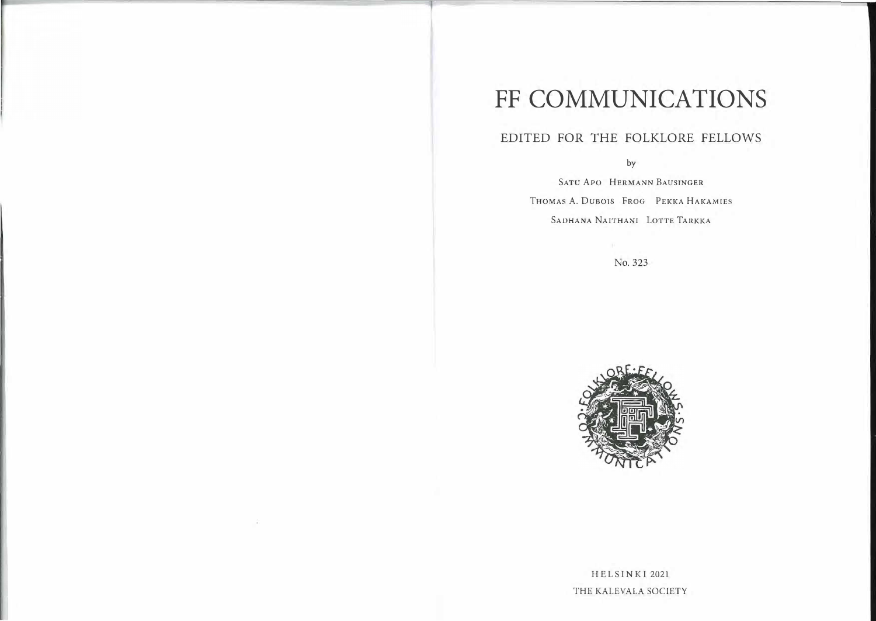# **FF COMMUNICATIONS**

# EDITED FOR THE FOLKLORE FELLOWS

by

SATU APO HERMANN BAUSINGER THOMAS A. DUBOIS FROG PEKKA HAKAMIES SADHANA NAITHANI LOTTE TARKKA

No. 323



HELSINKI 2021 THE KALEVALA SOCIETY

 $\sim$